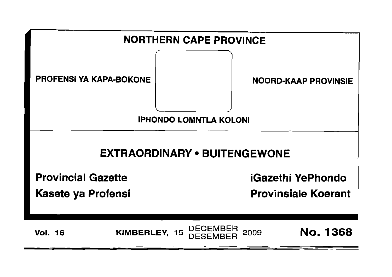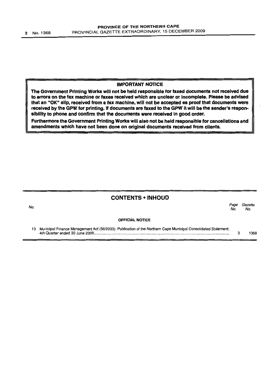#### IMPORTANT NOTICE

The Government Printing Works will not be held responsible for faxed documents not received due to errors on the fax machine or faxes received which are unclear or Incomplete. Please be advised that an "OK" Slip, received from a fax machine, will not be accepted as proof that documents were received by the GPW for printing. If documents are faxed to the GPW it will be the sender's responsibility to phone and confirm that the documents were received in good order.

Furthermore the Government Printing Works will also not be held responsible for cancellations and amendments which have not been done on original documents received from clients.

#### CONTENTS • INHOUD

| No. |                                                                                                                | Page<br>No. | Gazette<br>No. |  |
|-----|----------------------------------------------------------------------------------------------------------------|-------------|----------------|--|
|     | <b>OFFICIAL NOTICE</b>                                                                                         |             |                |  |
| 13  | Municipal Finance Management Act (56/2003): Publication of the Northern Cape Municipal Consolidated Statement: |             | 368            |  |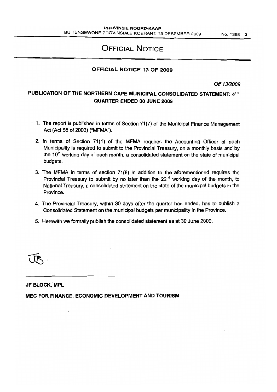## OFFICIAL NOTICE

#### OFFICIAL NOTICE 13 OF 2009

Off 13/2009

#### PUBLICATION OF THE NORTHERN CAPE MUNICIPAL CONSOLIDATED STATEMENT: 4TH QUARTER ENDED 30 JUNE 2009

- $\cdot$  1. The report is published in terms of Section 71(7) of the Municipal Finance Management Act (Act 56 of 2003) ("MFMA").
	- 2. In terms of Section 71(1) of the MFMA requires the Accounting Officer of each Municipality is required to submit to the Provincial Treasury, on a monthly basis and by the 10<sup>th</sup> working day of each month, a consolidated statement on the state of municipal budgets.
	- 3. The MFMA in terms of section 71(6) in addition to the aforementioned requires the Provincial Treasury to submit by no later than the 22<sup>nd</sup> working day of the month, to National Treasury, a consolidated statement on the state of the municipal budgets in the Province.
	- 4. The Provincial Treasury, within 30 days after the quarter has ended, has to publish a Consolidated Statement on the municipal budgets per municipality in the Province.
	- 5. Herewith we formally publish the consolidated statement as at 30 June 2009.

JF BLOCK; MPL

MEC FOR FINANCE, ECONOMIC DEVELOPMENT AND TOURISM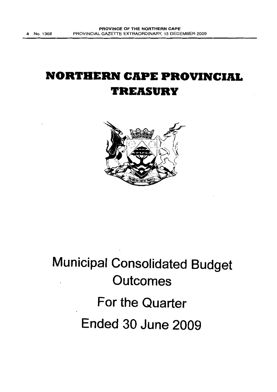# **NORTHERN CAPE PROVINCIAL TREASURY**



# **Municipal Consolidated Budget Outcomes For the Quarter Ended 30 June 2009**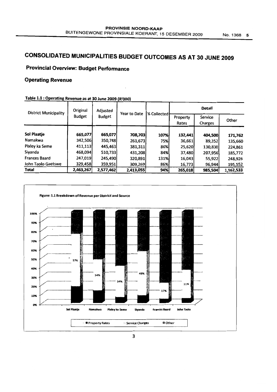## CONSOLIDATED MUNICIPALITIES BUDGET OUTCOMES AS AT 30 JUNE 2009

## Provincial Overview: Budget Performance

#### Operating Revenue

| <b>District Municipality</b> | Original      | Adjusted      |              |             | <b>Detail</b>     |                    |           |  |
|------------------------------|---------------|---------------|--------------|-------------|-------------------|--------------------|-----------|--|
|                              | <b>Budget</b> | <b>Budget</b> | Year to Date | % Collected | Property<br>Rates | Service<br>Charges | Other     |  |
| Sol Plaatje                  | 665,077       | 665,077       | 708,703      | 107%        | 132,441           | 404,500            | 171,762   |  |
| Namakwa                      | 342,506       | 350,748       | 261,673      | 75%I        | 36,661            | 89,352             | 135,660   |  |
| Pixley ka Seme               | 411,113       | 445,463       | 381,311      | 86%l        | 25,620            | 130,830            | 224,861   |  |
| Siyanda                      | 468,094       | 510,733       | 431,208      | 84%         | 37,480            | 207,956            | 185,772   |  |
| <b>Frances Baard</b>         | 247,019       | 245,490       | 320,891      | 131%        | 16,043            | 55,922             | 248,926   |  |
| John Taolo Gaetswe           | 329,458       | 359,951       | 309,269      | 86%         | 16,773            | 96,944             | 195,552   |  |
| <b>Total</b>                 | 2,463,267     | 2,577,462     | 2,413,055    | 94%         | 265,018           | 985,504            | 1,162,533 |  |

#### Table 1.1 : Operating Revenue as at 30 June 2009 (R'ooO)

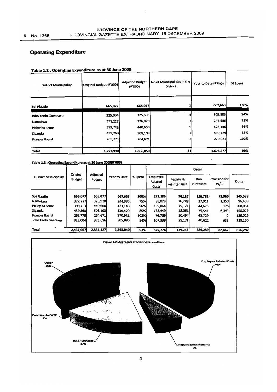#### PROVINCE OF THE NORTHERN CAPE PROVINCIAL GAZETTE EXTRAORDINARY, 15 DECEMBER 2009

## **Operating Expenditure**

| <b>District Municipality</b> | Original Budget (R'000) | <b>Adjusted Budget</b><br>(R'000) | No of Municipalities in the<br><b>District</b> | Year to Date (R'000) | % Spent |  |
|------------------------------|-------------------------|-----------------------------------|------------------------------------------------|----------------------|---------|--|
| Sol Plaatje                  | 665,077                 | 665,077                           |                                                | 667,663              | 100%    |  |
| John Taolo Gaeteswe          | 325,004                 | 325,696                           |                                                | 305,885              | 94%     |  |
| Namakwa                      | 322,227                 | 326,920                           |                                                | 244,986              | 75%     |  |
| Pixley ka Seme               | 399,723                 | 440,660                           | 9                                              | 423,146              | 96%     |  |
| Siyanda                      | 459,263                 | 508,103                           |                                                | 430,429              | 85%     |  |
| <b>Frances Baard</b>         | 265,773                 | 264,671                           | 4                                              | 270,931              | 102%    |  |
| <b>Total</b>                 | 1,771,990               | 1,866,050                         | 31                                             | 1,675,377            | 90%     |  |

#### Table 1.2 : Operating Expenditure as at 30 June 2009

#### Table 1.3 : Operating Expenditure as at 30 June 2009(R'000)

|                              | Original      |                           |              |         | Detail                              |                          |                   |                         |         |  |  |  |
|------------------------------|---------------|---------------------------|--------------|---------|-------------------------------------|--------------------------|-------------------|-------------------------|---------|--|--|--|
| <b>District Municipality</b> | <b>Budget</b> | Adjusted<br><b>Budget</b> | Year to Date | % Spent | <b>Employee</b><br>Related<br>Costs | Repairs &<br>maintenance | Bulk<br>Purchases | l Provision forl<br>W/C | Other   |  |  |  |
|                              |               |                           |              |         |                                     |                          |                   |                         |         |  |  |  |
| Sol Plaatie                  | 665,077       | 665,077                   | 667,663      | 100%    | 271,186                             | 50,137                   | 126,781           | 73,960                  | 145,599 |  |  |  |
| Namakwa                      | 322,227       | 326,920                   | 244,986      | 75%     | 93,029                              | 16,288                   | 37,911            | 1,350                   | 96,409  |  |  |  |
| Pixley ka Seme               | 399,723       | 440,660                   | 423,146      | 96%     | 155,064                             | 15,171                   | 44,675            | 175                     | 208,061 |  |  |  |
| Siyanda                      | 459,263       | 508,103                   | 430,429      | 85%     | 172,449                             | 18,061                   | 75,541            | 6,349                   | 158,029 |  |  |  |
| <b>Frances Baard</b>         | 265,773       | 264,671                   | 270,931      | 102%    | 76,709                              | 10,464                   | 63,729            | $\Omega$                | 120,029 |  |  |  |
| John Taolo Gaetswe           | 325,004       | 325,696                   | 305,885      | 94%     | 107,339                             | 29,131                   | 40,622            | 633                     | 128,160 |  |  |  |
|                              |               |                           |              |         |                                     |                          |                   |                         |         |  |  |  |
| Total                        | 2,437,067     | 2,531,127                 | 2,343,040    | 93%     | 875,776                             | 139,252                  | 389,259           | 82,467                  | 856,287 |  |  |  |

 $\cdot$ 

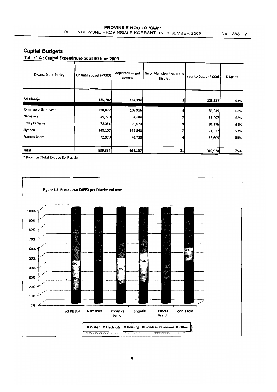### **Capital Budgets**

Table 1.4 : Capital Expenditure as at 30 June 2009

| <b>District Municipality</b> | Original Budget (R'000) | <b>Adjusted Budget</b><br>(R'000) | No of Municipalities in the<br>District | Year to Dated (R'000) | % Spent |
|------------------------------|-------------------------|-----------------------------------|-----------------------------------------|-----------------------|---------|
| Sol Plaatje                  | 125,707                 | 137,726                           |                                         | 128,357               | 93%     |
| John Taolo Gaeteswe          | 188,027                 | 102,916                           |                                         | 85,349                | 83%     |
| Namakwa                      | 49,779                  | 51,844                            |                                         | 35,407                | 68%     |
| Pixley ka Seme               | 72,351                  | 92,074                            |                                         | 91,176                | 99%     |
| Siyanda                      | 148,107                 | 142,543                           |                                         | 74,387                | 52%     |
| <b>Frances Baard</b>         | 72,070                  | 74,730                            |                                         | 63,605                | 85%     |
|                              |                         |                                   |                                         |                       |         |
| Total                        | 530,334                 | 464,107                           | 31                                      | 349,924               | 75%     |

\* Provincial Total Exclude SOl Plaatje

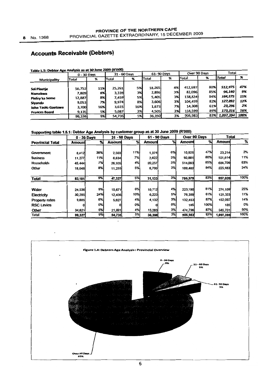## **Accounts Receivable (Debtors)**

 $\ddot{\phantom{a}}$ 

| Table 1.5: Debtor Age Analysis as at 30 June 2009 (K 000)<br>Total<br>Over 90 Days |             |     |              |           |        |            |         |     |              |      |  |
|------------------------------------------------------------------------------------|-------------|-----|--------------|-----------|--------|------------|---------|-----|--------------|------|--|
|                                                                                    | 0 - 30 Days |     | 31 - 60 Days |           |        | 61-90 Days |         |     |              |      |  |
| Total<br>Municipality                                                              |             | %   | Total        | %         | Total  | %          | Total   | 96  | <b>Total</b> | 96   |  |
|                                                                                    |             |     |              |           |        |            |         |     |              |      |  |
| <b>Sol Plaatie</b>                                                                 | 56,752      | 11% | 25.261       | 5%        | 18.265 | 4%         | 412,697 | 80% | 512,975      | 47%  |  |
| <b>Namakwa</b>                                                                     | 7,809       | 8%  | 3,339        | 3%        | 2,896  | 3%         | 82,096  | 85% | 96.140       | 9%   |  |
| Pixley ka Seme                                                                     | 12,887      | 8%  | 7,459        | 5%        | 5,405  | 3%I        | 138,824 | 84% | 164,575      | 15%  |  |
| Siyanda                                                                            | 9.053       | 7%] | 9.974        | 8%I       | 3,606  | 3%I        | 104,459 | 82% | 127,092      | 12%  |  |
| John Taolo Gaetswe                                                                 | 3.700       | 16% | 3,615        | 16%       | 1,673  | 7%         | 14,308  | 61% | 23,296       | 2%   |  |
| <b>Frances Baard</b>                                                               | 9,135       | 5%  | 5,087        | 3%        | 4,505  | 3%         | 154,599 | 89% | 173,316      | 16%  |  |
|                                                                                    | 99,336      | 9%  | 54,735       | <b>5%</b> | 36,350 | 3%         | 906,983 | 83% | 1,097,394    | 100% |  |

 $1 - 1 = 1 + 20$  king 2000 (P'000)

#### Supporting table 1.5.1: Debtor Age Analysis by customer group as at 30 June 2009 (R'000)

|                         |        | $0 - 30$ Days |        | 31 - 60 Days |        | 61 - 90 Days |         | Over 90 Days | <b>Total</b> |      |
|-------------------------|--------|---------------|--------|--------------|--------|--------------|---------|--------------|--------------|------|
| <b>Provincial Total</b> | Amount | $\gamma$      | Amount | %            | Amount | %            | Amount  | %            | Amount       | %    |
|                         |        |               |        |              |        |              |         |              |              |      |
| Government              | 8,412  | 36%           | 2,503  | 11%          | 1,374  | 6%           | 10,925  | 47%          | 23,214       | 2%   |
| <b>Business</b>         | 11,277 | 11%           | 6,634  | 7%           | 2,822  | 3%           | 80,881  | 80%          | 101,614      | 11%  |
| <b>Households</b>       | 45,444 | 7%            | 26,935 | 4%           | 20,237 | <b>3%</b>    | 514,093 | 85%          | 606,709      | 63%  |
| Other                   | 18,048 | 8%            | 11,255 | 5%           | 6,700  | <b>3%</b>    | 189,480 | 84%          | 225,483      | 24%  |
| Total                   | 83,181 | 9%            | 47,327 | 5%           | 31,133 | 3%           | 795,379 | 83%          | 957,020      | 100% |
|                         |        |               |        |              |        |              |         |              |              |      |
| Water                   | 24,536 | 9%            | 15,671 | 6%           | 10,712 | 4%           | 223,190 | 81%          | 274,109      | 25%  |
| Electricity             | 30,285 | 24%           | 12,436 | 10%          | 6,223  | 5%           | 76,359  | 61%          | 125,303      | 11%  |
| <b>Property rates</b>   | 9,885  | 6%            | 5,627  | 4%           | 4,132  | 3%           | 132,453 | 87%          | 152,097      | 14%  |
| <b>RSC Levies</b>       |        | 0%            |        | 0%           |        | 0%           | 185     | 100%         | 185          | 0%   |
| Other                   | 34,621 | 6%            | 21,001 | 4%           | 15,283 | 3%           | 474.796 | 87%          | 545,701      | 50%  |
| <b>Total</b>            | 99,327 | 9%            | 54,735 | 5%           | 36,350 | 3%           | 906,983 | 83%          | 1,097,395    | 100% |

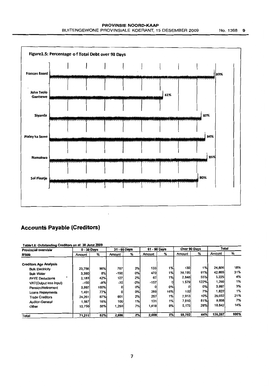

#### **Accounts Payable (Creditors)**

| Table1.6: Outstanding Creditors as at 30 June 2009 |               |            |              |     |              |     | Over 90 Days |      | Total   |      |
|----------------------------------------------------|---------------|------------|--------------|-----|--------------|-----|--------------|------|---------|------|
| Provincial overview                                | $0 - 30$ Days |            | 31 - 60 Days |     | 61 - 90 Days |     |              |      |         |      |
| <b>R'000</b>                                       | Amount        | %          | Amount       | %   | Amount       | %   | Amount       | %    | Amount  | %    |
| <b>Creditors Age Analysis</b>                      |               |            |              |     |              |     |              |      |         |      |
| <b>Bulk Electricity</b>                            | 23,756        | 96%        | 787          | 3%  | 133          | 1%  | 130          | 1%   | 24,806  | 18%  |
| <b>Bulk Water</b>                                  | 3,390         | 8%l        | -190         | 0%  | 470          | 1%  | 39.195       | 91%  | 42,865  | 31%  |
| <b>PAYE Deductions</b>                             | 2,183         | 42%        | 127          | 2%  | 67           | 1%  | 2,848        | 55%  | 5,225   | 4%   |
| VAT(Output less Input)                             | $-100$        | -8%        | $-32$        | -2% | $-157$       | o   | 1.579        | 122% | 1,290   | 1%   |
| Pension/Retirement                                 | 3,997         | 100%       | O            | 0%  | 0I           | 0%l |              | 0%   | 3,997   | 3%   |
| Loans Repayments                                   | 1,401         | 77%l       | ٥I           | 0%l | 289          | 16% | 132          | 7%   | 1,822   | 1%   |
| <b>Trade Creditors</b>                             | 24,261        | 87%        | 601          | 2%  | 257          | 1%l | 2,913        | 10%  | 28.032  | 21%  |
| <b>Auditor-General</b>                             | 1,567         | 16%        | 100          | 1%  | 131          | 1%  | 7,810        | 81%  | 9,608   | 7%   |
| Other                                              | 10.756        | 58%        | 1,293        | 7%  | 1,418        | 8%  | 5.175        | 28%  | 18,642  | 14%  |
| Total                                              | 71.211        | <b>52%</b> | 2,686        | 2%  | 2,608        | 2%  | 59,782       | 44%  | 136,287 | 100% |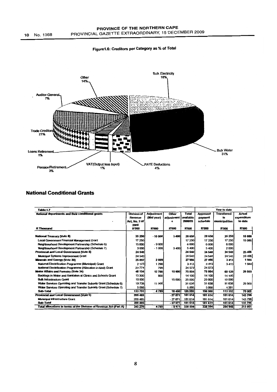



#### **National Conditional Grants**

| Table: 1.7                                                         |               |                   |            |              |                 | Year to date       |              |
|--------------------------------------------------------------------|---------------|-------------------|------------|--------------|-----------------|--------------------|--------------|
| National departments and their conditional grants                  | Division of   | <b>Adjustment</b> | Other      | <b>Total</b> | <b>Approved</b> | <b>Transferred</b> | Actual       |
|                                                                    | Revenue       | (Mid year)        | adjustment | available    | payment         | to                 | expenditure  |
|                                                                    | Act. No. 2 of |                   | s          | 2008/09      | schedule        | municipalities     | to date      |
|                                                                    | 2008          |                   |            |              |                 |                    |              |
| R Thousand                                                         | <b>R'000</b>  | <b>R'000</b>      | R'000      | R'000        | <b>R'000</b>    | <b>R'000</b>       | <b>R'000</b> |
| <b>National Treasury (Vote 8)</b>                                  | 35 250        | $-10000$          | 3 400      | 28 650       | 28 650          | 25 250             | 15 086       |
|                                                                    |               |                   |            |              |                 |                    |              |
| <b>Local Government Financial Management Grant</b>                 | 17 250        |                   |            | 17 250       | 17 250          | 17 250             | 15 086       |
| Neighbourhood Development Partnership (Schedule 6)                 | 15 000        | $-9000$           |            | 6000         | 6000            | 6000               |              |
| Neighbourhood Development Partnership (Schedule 7)                 | 3000          | $-1000$           | 3400       | 5400         | 5400            | 2000               |              |
| Provincial and Local Government (Vote 5)                           | 24 540        |                   |            | 24 540       | 24 540          | 24 540             | 23 406       |
| <b>Municipal Systems Improvement Grant</b>                         | 24 540        |                   |            | 24 540       | 24 540          | 24 540             | 23 406       |
| Minerals and Energy (Vote 30)                                      | 25897         | 2089              |            | 27986        | 27 986          | 3413               | 1944         |
| National Electrification Programme (Municipal) Grant               | 2 1 2 3       | 1 290             |            | 3413         | 3413            | 3413               | 1944         |
| National Electrification Programme (Allocation in-kind) Grant      | 23774         | 799               |            | 24 573       | 24 573          |                    |              |
| <b>Water Affairs and Forestry (Vote 34)</b>                        | 48 104        | 12700             | 15 000     | 75 804       | 75 804          | 60 129             | 29 569       |
| Backlogs in Water and Sanitation at Clinics and Schools Grant      | 13 300        | 800               |            | 14 100       | 14 100          | 14 100             |              |
| <b>Bulk Infrastructure Grant</b>                                   | 10 000        |                   | 15 000     | 25 000       | 25 000          | 10 000             |              |
| Water Services Operating and Transfer Subsidy Grant (Schedule 6)   | 19738         | 11 900            |            | 31 638       | 31 638          | 31 638             | 29569        |
| Water Services Operating and Transfer Subsidy Grant (Schedule 7)   | 5066          |                   |            | 5066         | 5066            | 4 3 9 1            |              |
| Sub-Total                                                          | 133 791       | 4789              | 18 400     | 156 980      | 156 980         | 113 332            | 70 005       |
| Provincial and Local Government (Vote 5)                           | 209 485       |                   | $-27871$   | 181 614      | 181 614         | 181 614            | 143 796      |
| Municipal Infrastructure Grant                                     | 209 485       |                   | $-27.871$  | 181 614      | 181 614         | 181 614            | 143796       |
| Sub-Total                                                          | 209 485       |                   | $-27371$   | 181 614      | 181 614         | 181 614            | 143 796      |
| Total allocations in terms of the Division of Revenue Act (Part A) | 343 276       | 4789              | $-9471$    | 338 594      | 338 594         | 294 946            | 213 801      |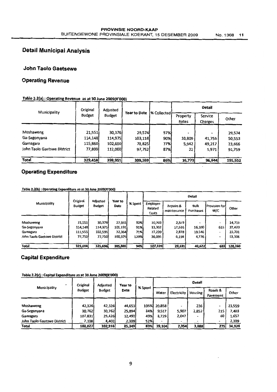## Detail Municipal Analysis

#### John Taolo Gaetsewe

#### Operating Revenue

#### Table 2.2(a) : Operating Revenue as at 30 June 2009(R'OOO)

|                             | Original      | Adjusted      |                     |             | <b>Detail</b>     |                    |         |  |
|-----------------------------|---------------|---------------|---------------------|-------------|-------------------|--------------------|---------|--|
| Municipality                | <b>Budget</b> | <b>Budget</b> | <b>Year to Date</b> | % Collected | Property<br>Rates | Service<br>Charges | Other   |  |
|                             |               |               |                     |             |                   |                    |         |  |
| Moshaweng                   | 21,551        | 30,376        | 29,574              | 97%         | ۰                 |                    | 29,574  |  |
| Ga-Segonyana                | 114,148       | 114,975       | 103,118             | 90%         | 10,809            | 41,756             | 50,553  |  |
| Gamagara                    | 115,860       | 102,600       | 78,825              | 77%         | 5,942             | 49,217             | 23,666  |  |
| John Taolo Gaetswe District | 77,8991       | 112,000       | 97,752              | 87%         | 22                | 5,971              | 91,759  |  |
| Total                       | 329,458       | 359,951       | 309,269             | 86%         | 16,773            | 96,944             | 195,552 |  |

#### Operating Expenditure

#### Table 2.2(b) : Operating Expenditure as at 30 June 2009(R'000)

|                             |                           | Adjusted<br><b>Budget</b> | Year to<br>Date |         | <b>Detail</b>                |                          |                   |                             |         |  |  |
|-----------------------------|---------------------------|---------------------------|-----------------|---------|------------------------------|--------------------------|-------------------|-----------------------------|---------|--|--|
| Municipality                | Original<br><b>Budget</b> |                           |                 | % Spent | Employee<br>Related<br>Costs | Repairs &<br>maintenance | Bulk<br>Purchases | <b>Provision for</b><br>W/C | Other   |  |  |
|                             |                           |                           |                 |         |                              |                          |                   |                             |         |  |  |
| Moshaweng                   | 21,551                    | 30,376                    | 27,955          | 92%     | 10,703                       | 2,519                    |                   | $\overline{\phantom{0}}$    | 14,733  |  |  |
| Ga-Segonyana                | 114,148                   | 114,975                   | 105,191         | 91%     | 33,302                       | 17,536                   | 16,300            | 633                         | 37,420  |  |  |
| Gamagara                    | 111,555                   | 102,595                   | 72,364          | 71%     | 27,239                       | 2,878                    | 19,546            | ۰                           | 22,701  |  |  |
| John Taolo Gaetswe District | 77,750                    | 77,750                    | 100,375         | 129%    | 36,095                       | 6,198                    | 4,776             | ٠                           | 53,306  |  |  |
|                             |                           |                           |                 |         |                              |                          |                   |                             |         |  |  |
| <b>Total</b>                | 325,004                   | 325,696                   | 305,885         | 94%     | 107,339                      | 29,131                   | 40,622            | 633                         | 128,160 |  |  |

#### Capital Expenditure

#### Table 2.2(c) : Capital Expenditure as at 30 June 2009(R'000)

|                             | Original      | <b>Adjusted</b> | Year to |         | Detail |                              |                          |                     |        |  |
|-----------------------------|---------------|-----------------|---------|---------|--------|------------------------------|--------------------------|---------------------|--------|--|
| <b>Municipality</b>         | <b>Budget</b> | Budget          | Date    | % Spent | Water  | Electricity                  | Housing                  | Roads &<br>Pavement | Other  |  |
|                             |               |                 |         |         |        |                              |                          |                     |        |  |
| Moshaweng                   | 42,326        | 42,326          | 44,653  | 105%    | 20,858 | $\tilde{\phantom{a}}$        | 236                      | -                   | 23,559 |  |
| Ga-Segonyana                | 30,762        | 30,762          | 25,894  | 84%     | 9,517  | 5,907                        | 2,852                    | 215                 | 7,403  |  |
| Gamagara                    | 107,831       | 25,426          | 12,493  | 49%     | 8,729  | 2,047                        | $\overline{\phantom{0}}$ | 60                  | 1,657  |  |
| John Taolo Gaetswe District | 7,108         | 4,402           | 2,309   | 52%     |        | $\qquad \qquad \blacksquare$ | $\overline{\phantom{0}}$ |                     | 2,309  |  |
| Total                       | 188,027       | 102,916         | 85,349  | 83%     | 39,104 | 7,954                        | 3,088                    | 275                 | 34,928 |  |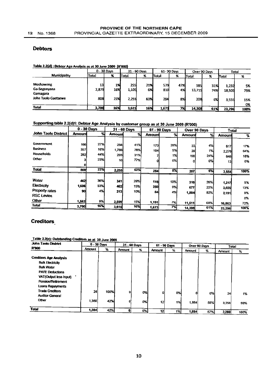#### **Debtors**

#### Table 2.2(d) : Debtor Age Analysis as at 30 June 2009 (R'000)

|                                       |              | $0 - 30$ Days |              | 31 - 60 Days |            | 61-90 Days |               | Over 90 Days | Total           |           |
|---------------------------------------|--------------|---------------|--------------|--------------|------------|------------|---------------|--------------|-----------------|-----------|
| Municipality                          | <b>Total</b> | x             | Total        | %            | Total      | %          | Total         | %            | Total           | %         |
| Moshaweng<br>Ga-Segonyana<br>Gamagara | 13<br>2,879  | 1%<br>16%     | 255<br>1,105 | 21%<br>6%    | 579<br>810 | 47%<br>4%  | 385<br>13,715 | 31%<br>74%   | 1,232<br>18,509 | 5%<br>79% |
| John Taolo Gaetsewe                   | 808          | 23%           | 2,255        | 63%          | 284        | 8%         | 208           | 6%           | 3,555           | 15%<br>0% |
| <b>Total</b>                          | 3,700        | 16%           | 3,615        | 16%          | 1,673      | 7%         | 14.308        | 61%          | 23.296          | 100%      |

## Supporting table 2.2(d)1: Debtor Age Analysis by customer group as at 30 June 2009 (R'000)

|                       |        | $0 - 30$ Days |        | 31 - 60 Days |        | 61 - 90 Days |        | Over 90 Days | <b>Total</b> |      |
|-----------------------|--------|---------------|--------|--------------|--------|--------------|--------|--------------|--------------|------|
| John Taolo District   | Amount | $\%$          | Amount | %            | Amount | %            | Amount | %            | Amount       | %    |
|                       |        |               |        |              |        |              |        |              |              |      |
| Government            | 166    | 27%           | 256    | 41%          | 173    | 28%          | 22     | 4%           | 617          | 17%  |
| <b>Business</b>       | 357    | 16%           | 1,786  | 78%I         | 104    | 5%           | 29     | 1%           |              | 64%  |
| <b>Households</b>     | 282    | 44%           | 203    | 31%          |        | 1%           | 156    | 24%          | 2.276        |      |
| Other                 |        | 23%           | 10     | 77%          |        | 0%           |        |              | 648          | 18%  |
|                       |        |               |        |              |        |              | 0      | 0%           | 13           | 0%   |
| <b>Total</b>          | 808    | 23%           | 2,255  | 63%          |        | 8%           |        |              |              |      |
|                       |        |               |        |              | 284    |              | 207    | 6%           | 3,554        | 100% |
| Water                 |        |               |        |              |        |              |        |              |              |      |
|                       | 4421   | 36%           | 341    | 28%          | 118    | 10%          | 316    | 26%          | 1,217        | 5%   |
| Electricity           | 1,606  | 53%           | 462    | 15%          | 280    | 9%           | 677    | 22%          | 3,025        | 13%  |
| <b>Property rates</b> | 90     | 4%            | 213    | 10%l         | 84     | 4%           | 1.804  | 82%          | 2.191        | 9%   |
| <b>RSC Levies</b>     |        |               |        |              |        |              |        |              |              | 0%   |
| Other                 | 1,562  | 9%            | 2.599  | 15%          | 1,191  | 7%           | 11,511 | 68%          | 16,863       | 72%  |
| <b>Total</b>          | 3,700  | 16%           | 3,615  | 16%          | 1,673  | 7%           | 14,308 | 61%          | 23,296       | 100% |

#### **Creditors**

Table 2.2(e): Outstanding Creditors as at 30 June 2009

| John Taolo District           | $0 - 30$ Days |      | 31 - 60 Days  |    | 61 - 90 Days    |    |               | Over 90 Days | Total  |      |
|-------------------------------|---------------|------|---------------|----|-----------------|----|---------------|--------------|--------|------|
| <b>R'000</b>                  | Amount        | ₩    | <b>Amount</b> | %  | Amount          | ℅  | <b>Amount</b> | %            | Amount | %    |
| <b>Creditors Age Analysis</b> |               |      |               |    |                 |    |               |              |        |      |
| <b>Bulk Electricity</b>       |               |      |               |    |                 |    |               |              |        |      |
| <b>Bulk Water</b>             |               |      |               |    |                 |    |               |              |        |      |
| <b>PAYE Deductions</b>        |               |      |               |    |                 |    |               |              |        |      |
| VAT(Output less Input)        |               |      |               |    |                 |    |               |              |        |      |
| Pension/Retirement            |               |      |               |    |                 |    |               |              |        |      |
| Loans Repayments              |               |      |               |    |                 |    |               |              |        |      |
| <b>Trade Creditors</b>        | 24            | 100% | 0             | 0% | ۵I              | 0% |               |              |        |      |
| <b>Auditor-General</b>        |               |      |               |    |                 |    | 0             | 0%           | 24     | 1%   |
| Other                         | 1,360         | 42%  | 0             | 0% | 12 <sup>1</sup> | 1% | 1,884         | 58%          | 3,256  | 99%  |
| <b>Total</b>                  | 1,384         | 42%  |               |    |                 |    |               |              |        |      |
|                               |               |      |               | 0% | 12              | 1% | 1,884         | 57%          | 3,280  | 100% |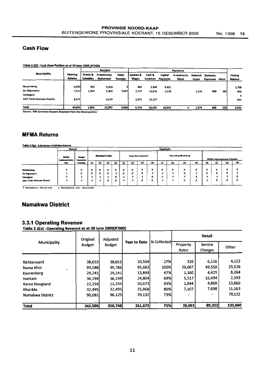#### **Cash Flow**

Table 2.2(f): Cash Flow Position as at 30 June 2009 (R'000)

|                             |         |                  | <b>Receipts</b>    |          |              |                  |                 | Payments    |          |           |       |                |
|-----------------------------|---------|------------------|--------------------|----------|--------------|------------------|-----------------|-------------|----------|-----------|-------|----------------|
| Municipality                | Opening | Grants &         | <b>Investments</b> | Other    | Salaries &   | Cash &           | Capital         | investments | External | Statutory |       | Closing        |
|                             | Balance | <b>Subsidies</b> | <b>Redeemed</b>    | Receipts | <b>Wages</b> | <b>Creditors</b> | <b>Payments</b> | Made        | Loans    | Payments  | Other | <b>Balance</b> |
|                             |         |                  |                    |          |              |                  |                 |             |          |           |       |                |
| Moshaweng                   | 5,056   | 500              | 9,928              |          | 864          | 2,484            | 9,431           |             |          |           |       | 2,708          |
| Ga-Segonyana                | 7,315   | 1,354            | 5,000              | 5,047    | 2.737        | 10,814           | 1,528           |             | 1,574    | 888       | 235   | 940            |
| Gamagara                    |         |                  |                    |          |              |                  |                 |             |          |           |       | O              |
| John Taolo Gaetswe District | 8,471   |                  | 8,024              |          | 2,675        | 13,127           |                 |             |          |           |       | 693            |
|                             |         |                  |                    |          |              |                  |                 |             |          |           |       |                |
| Total                       | 20,842  | 1,854            | 22,952             | 5,050    | 6,276        | 26,425           | 10,959          | o           | 1,574    | 888       | 235   | 4,341          |

Source : IYM Sammary Reports Received from the Municipalities

 $\ddot{\phantom{a}}$ 

#### **MFMA Returns**

Table 2.2(g) : Submission of MFMA Returns

| Annual      |                       |                                       | Quarterly<br><b>Borrowing Monitoring</b><br><b>Municipal Entities</b><br>Long Term Contracts |                          |   |                                  |                     |                               |                                                  |                     |                 |                                                  |                                                  |                                                  |        |                                                      |                      |
|-------------|-----------------------|---------------------------------------|----------------------------------------------------------------------------------------------|--------------------------|---|----------------------------------|---------------------|-------------------------------|--------------------------------------------------|---------------------|-----------------|--------------------------------------------------|--------------------------------------------------|--------------------------------------------------|--------|------------------------------------------------------|----------------------|
| <b>MFMA</b> | <b>Budget</b>         |                                       | Q3<br>Q2<br>Q4                                                                               |                          |   |                                  |                     |                               |                                                  |                     |                 |                                                  |                                                  | <b>MFMA Implementation Priorities</b>            |        |                                                      |                      |
| Plan        | <b>Checklist</b>      | Qi                                    |                                                                                              |                          |   | Q1                               | Q2                  | Q3                            | Q4                                               | $_{\alpha}$         | Q <sub>2</sub>  | Q3                                               | Q4                                               | Qı                                               | Q2     | Q3                                                   | $\alpha$             |
|             |                       |                                       |                                                                                              |                          |   |                                  |                     |                               |                                                  |                     |                 |                                                  |                                                  |                                                  |        |                                                      |                      |
|             | x                     | $\lambda$                             | $\lambda$                                                                                    | х                        | ᆺ | $\overline{\phantom{a}}$<br>ᄉ    | $\overline{ }$<br>ᄉ | $\overline{\phantom{a}}$<br>ᄉ | $\overline{ }$<br>$\lambda$                      | $\overline{ }$<br>ᄎ | $\check{}$<br>^ | $\tilde{\phantom{a}}$<br>$\mathbf{v}$            | $\cdot$<br>$\ddot{\phantom{0}}$                  | $\overline{\phantom{a}}$<br>$\ddot{\phantom{0}}$ | v<br>ᆺ | $\overline{\phantom{a}}$<br>$\ddot{\phantom{0}}$     | Λ                    |
|             | $\check{}$<br>^       | $\overline{\phantom{a}}$<br>$\lambda$ | $\ddot{\phantom{1}}$                                                                         | $\overline{ }$           |   | $\overline{ }$<br>$\overline{ }$ | v<br>Λ              | ᄉ                             |                                                  |                     |                 | $\overline{a}$<br>$\ddot{\phantom{0}}$           |                                                  | ́                                                | ^      | ^                                                    |                      |
|             |                       |                                       |                                                                                              |                          |   |                                  | ×.                  |                               | $\overline{\phantom{a}}$<br>$\ddot{\phantom{0}}$ | ×.                  |                 |                                                  | $\overline{\phantom{a}}$<br>$\ddot{\phantom{0}}$ |                                                  | . I    |                                                      |                      |
|             |                       |                                       |                                                                                              | <br>$\ddot{\phantom{0}}$ | Ð | л.                               | ٦J                  | $\cdot$<br>$\mathbf{v}$       | $\cdot$<br>ᄉ                                     |                     |                 | $\overline{\phantom{a}}$<br>$\ddot{\phantom{0}}$ | $\overline{ }$                                   |                                                  | ∼      | ⋏                                                    | ^                    |
|             |                       |                                       |                                                                                              |                          |   |                                  |                     |                               |                                                  |                     |                 |                                                  |                                                  |                                                  |        |                                                      |                      |
|             | <b>Implementation</b> | Evaluation                            |                                                                                              |                          |   |                                  |                     |                               |                                                  |                     |                 |                                                  |                                                  | $\cdot$                                          |        | $\overline{\phantom{a}}$<br>$\overline{\phantom{a}}$ | $\ddot{\phantom{0}}$ |

 $\overline{\phantom{a}}$ 

**uments Received** x Documents not received

#### **Namakwa District**

#### 3.3.1 Operating Revenue

Table 2.3(a) : Operating Revenue as at 30 June 2009(R'000)

|                  | Original      | Adjusted      |                     |             |                   | <b>Detail</b>      |         |
|------------------|---------------|---------------|---------------------|-------------|-------------------|--------------------|---------|
| Municipality     | <b>Budget</b> | <b>Budget</b> | <b>Year to Date</b> | % Collected | Property<br>Rates | Service<br>Charges | Other   |
|                  |               |               |                     |             |                   |                    |         |
| Richtersveld     | 38,653        | 38,653        | 10,564              | 27%         | 326               | 6,116              | 4,122   |
| Nama Khoi        | 93,588        | 95,786        | 95,683              | 100%        | 20,607            | 49,550             | 25,526  |
| Kamiesberg       | 29,241        | 29,241        | 13,849              | 47%l        | 1,160             | 4,425              | 8,264   |
| Hantam           | 36,194        | 36,194        | 24,804              | 69%l        | 5,517             | 16,694             | 2,593   |
| Karoo Hoogland   | 22,254        | 22,254        | 20,673              | 93%         | 1,944             | 4,869              | 13,860  |
| Khai-Ma          | 32,495        | 32,495        | 25,968              | 80%         | 7,107             | 7,698              | 11,163  |
| Namakwa District | 90,081        | 96,125        | 70,132              | 73%l        |                   |                    | 70,132  |
| Total            | 342,506       | 350,748       | 261,673             | 75%         | 36,661            | 89,352             | 135,660 |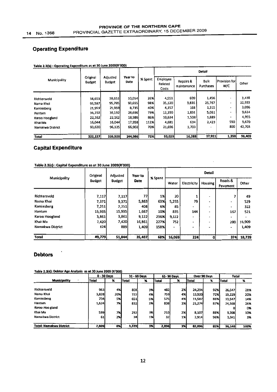#### Operating Expenditure

|                  |                           |                           |                 |         | Detail                       |                          |                   |                      |        |  |  |  |  |
|------------------|---------------------------|---------------------------|-----------------|---------|------------------------------|--------------------------|-------------------|----------------------|--------|--|--|--|--|
| Municipality     | Original<br><b>Budget</b> | Adjusted<br><b>Budget</b> | Year to<br>Date | % Spent | Employee<br>Related<br>Costs | Repairs &<br>maintenance | Bulk<br>Purchases | Provision for<br>W/C | Other  |  |  |  |  |
| $\cdot$          |                           |                           |                 |         |                              |                          |                   |                      |        |  |  |  |  |
| Richtersveld     | 38,653                    | 38,653                    | 10,054          | 26%     | 4,551                        | 609                      | 1,456             | -                    | 3,438  |  |  |  |  |
| Nama Khoi        | 93,587                    | 95,785                    | 93,655          | 98%     | 35.120                       | 9,835                    | 25,767            | ÷                    | 22,933 |  |  |  |  |
| Kamlesberg       | 21,959                    | 21,959                    | 8,735           | 40%     | 4,157                        | 168                      | 1,315             | ۰                    | 3,096  |  |  |  |  |
| Hantam           | 36,192                    | 36,192                    | 28,696          | 79%     | 12,190                       | 1,831                    | 5,061             | -                    | 9,614  |  |  |  |  |
| Karoo Hoogland   | 22,162                    | 22,162                    | 18,986          | 86%     | 10,634                       | 1,508                    | 1,889             |                      | 4,955  |  |  |  |  |
| Khai-Ma          | 16,044                    | 16,044                    | 17,958          | 112%    | 4,681                        | 634                      | 2,423             | 550                  | 9,670  |  |  |  |  |
| Namakwa District | 93,630                    | 96,125                    | 66,902          | 70%     | 21,696                       | 1,703                    |                   | 800                  | 42,703 |  |  |  |  |
| Total            | 322,227                   | 326,920                   | 244,986         | 75%     | 93,029                       | 16,288                   | 37,911            | 1,350                | 96,409 |  |  |  |  |

#### Table 2.3(b) ; Operating Exoendlture as at 30 June 2009(R'OOO)

#### Capital Expenditure

|                  | Original      | Adjusted      | Year to |         | <b>Detail</b> |                          |                          |                     |        |  |  |
|------------------|---------------|---------------|---------|---------|---------------|--------------------------|--------------------------|---------------------|--------|--|--|
| Municipality     | <b>Budget</b> | <b>Budget</b> | Date    | % Spent | Water         | Electricity              | <b>Housing</b>           | Roads &<br>Pavement | Other  |  |  |
|                  |               |               |         |         |               |                          |                          |                     |        |  |  |
| Richtersveld     | 7,117         | 7,117         | 77      | 1%      | 20            |                          | $\overline{a}$           |                     | 49     |  |  |
| Nama Khoi        | 7,371         | 9,371         | 5,863   | 63%     | 5,255         | 79                       | $\bullet$                | -                   | 529    |  |  |
| Kamiesberg       | 7,251         | 7,251         | 408     | 6%      | 85            | $\overline{\phantom{0}}$ | $\overline{\phantom{0}}$ | -                   | 322    |  |  |
| Hantam           | 15,935        | 15,935        | 1,667   | 10%     | 835           | 144                      | -                        | 167                 | 521    |  |  |
| Karoo Hoogland   | 3,861         | 3,861         | 9,122   | 236%    | 9,122         | ۰                        | $\overline{\phantom{a}}$ | -                   |        |  |  |
| Khai-Ma          | 7,420         | 7,420         | 16,861  | 227%    | 752           | $\blacksquare$           | ۰                        | 200                 | 15,909 |  |  |
| Namakwa District | 824           | 889           | 1,409   | 158%    |               | ۰                        | $\bullet$                | ۰                   | 1,409  |  |  |
| <b>Total</b>     | 49,779        | 51,844        | 35,407  | 68%     | 16,069        | 224                      | 0l                       | 374                 | 18,739 |  |  |

 $\ddot{\phantom{0}}$ 

Table 2.3(c) : Capital expenditure as at 30 June 2009(R'OOO)

#### **Debtors**

 $\ddot{\phantom{0}}$ 

Table 2.3(d): Debtor Age Analysis as at 30 June 2009 (R'000)

|                                |       | $0 - 30$ Days |       | 31 - 60 Days |              | 61-90 Days               |              | Over 90 Days | <b>Total</b> |      |
|--------------------------------|-------|---------------|-------|--------------|--------------|--------------------------|--------------|--------------|--------------|------|
| <b>Municipality</b>            | Total | %             | Total | x            | <b>Total</b> | $\boldsymbol{\varkappa}$ | <b>Total</b> | x            | <b>Total</b> | %    |
|                                |       |               |       |              |              |                          |              |              |              |      |
| Richtersveld                   | 963   | 4%            | 808   | 3%           | 482          | 2%                       | 24,294       | 92%          | 26,547       | 28%  |
| Nama Khoi                      | 3,828 | 20%           | 722   | 4%           | 759I         | 4%                       | 13,920       | 72%          | 19,229       | 20%  |
| Kamiesberg                     | 734   | 5%            | 651   | 5%           | 5751         | 4%                       | 11,587       | 86%          | 13,547       | 14%  |
| Hantam                         | 1,624 | 7%            | 832   | 3%           | 838          | 3%                       | 21.274       | 87%          | 24,568       | 26%  |
| Karoo Hoo gland                |       |               |       |              |              |                          |              |              |              | 0%   |
| Khai Ma                        | 599   | 7%            | 292   | 3%           | <b>210</b>   | 2%                       | 8,107        | 88%          | 9,208        | 10%  |
| Namakwa District               | 61    | 2%            | 34    | 1%           | 32           | 1%                       | 2,914        | 96%          | 3,041        | 3%   |
|                                |       |               |       |              |              |                          |              |              |              |      |
| <b>Total: Namakwa District</b> | 7,809 | 8%            | 3,339 | 3%           | 2,896        | 3%                       | 82,096       | 85%          | 96,140       | 100% |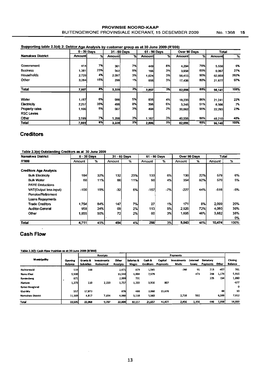#### PROVINSIE NOORD-KAAP BUITENGEWONE PROVINSIALE KOERANT, 15 DESEMBER 2009 No. 1368 15

#### Supporting table 2.3(d) 2: Debtor Age Analysis by customer group as at 30 June 2009 (R'000)

|                   | $0 - 30$ Days |     |        | 31 - 60 Days |               | 61 - 90 Days | Over 90 Days  |     | <b>Total</b> |      |
|-------------------|---------------|-----|--------|--------------|---------------|--------------|---------------|-----|--------------|------|
| Namakwa District  | Amountl       | ℅   | Amount | $\%$         | <b>Amount</b> | %            | <b>Amount</b> | %   | Amount       | %    |
|                   |               |     |        |              |               |              |               |     |              |      |
| Government        | 414           | 7%  | 301    | 7%l          | 449           | 8%           | 4,294         | 78% | 5,538        | 6%   |
| <b>Business</b>   | 1,381         | 23% | 562    | 9%           | 166           | 3%           | 3,958         | 65% | 6,067        | 27%  |
| Households        | 2.728         | 4%  | 2,097  | 3%           | 1.624         | 3%           | 56,410        | 90% | 62,859       | 282% |
| Other             | 3,284         | 15% | 299    | 1%           | 658           | 3%           | 17,436        | 80% | 21,677       | 97%  |
|                   |               |     |        |              |               |              |               |     |              |      |
| <b>Total</b>      | 7,807         | 8%  | 3,339  | 3%           | 2,897         | 3%l          | 82,098        | 85% | 96,141       | 100% |
|                   |               |     |        |              |               |              |               |     |              |      |
| Water             | 1,187         | 6%  | 986    | 5%           | 835           | 4%           | 18,233        | 86% | 21,241       | 22%  |
| Electricity       | 2,257         | 35% | 498    | 8%           | 396           | 6%           | 3,245         | 51% | 6,396        | 7%   |
| Property rates    | 1,166         | 5%  | 567    | 3%           | 498           | 2%           | 20,062        | 90% | 22,293       | 23%  |
| <b>RSC Levies</b> |               |     |        |              |               |              |               |     |              |      |
| Other             | 3,199         | 7%  | 1,288  | 3%           | 1,167         | 3%           | 40,556        | 88% | 46,210       | 48%  |
| Total             | 7,809         | 8%  | 3,339  | 3%           | 2,896         | 3%           | 82,096        | 85% | 96,140       | 100% |

#### **Creditors**

#### Table 2.3(e) Outstanding Creditors as at 30 June 2009

| Namakwa District              | $0 - 30$ Days |               |                 | 31 - 60 Days |        | 61 - 90 Days |        | Over 90 Days | Total  |      |
|-------------------------------|---------------|---------------|-----------------|--------------|--------|--------------|--------|--------------|--------|------|
| <b>R'000</b>                  | Amount        | $\frac{9}{6}$ | Amount          | %            | Amount | %            | Amount | %            | Amount | %    |
| <b>Creditors Age Analysis</b> |               |               |                 |              |        |              |        |              |        |      |
| <b>Bulk Electricity</b>       | 184           | <b>32%</b>    | 132             | 23%          | 133    | 6%           | 130    | 22%          | 579    | 6%   |
| <b>Bulk Water</b>             | 60            | 11%I          | 66              | 11%          | 90     | 4%           | 354    | 62%          | 570    | 5%   |
| <b>PAYE Deductions</b>        |               |               |                 |              |        |              |        |              |        |      |
| VAT(Output less Input)        | $-100$        | <b>19%</b>    | $-32'$          | 6%l          | $-157$ | $-7%$        | $-227$ | 44%          | $-516$ | -5%  |
| <b>Pension/Retirement</b>     |               |               |                 |              |        |              |        |              |        |      |
| Loans Repayments              |               |               |                 |              |        |              |        |              |        |      |
| <b>Trade Creditors</b>        | 1,754         | 84%           | 147             | 7%           | 27     | 1%           | 171    | 8%           | 2,099  | 20%  |
| <b>Auditor-General</b>        | 958           | 24%           | 69              | 2%           | 113    | 5%           | 2,920  | 72%          | 4,060  | 39%  |
| Other                         | 1,855         | 50%l          | 72 <sub>1</sub> | 2%           | 60     | 3%           | 1,695  | 46%          | 3,682  | 35%  |
|                               |               |               |                 |              |        |              |        |              |        | 0%   |
| <b>Total</b>                  | 4,711         | 45%           | 454             | 4%           | 266    | 3%           | 5,043  | 48%          | 10,474 | 100% |

#### Cash **Flow**

Table 2.3(f): Cash Row Position as at 30 June 2009 (R'000)

|                       |                           |                              | Receipts                |                   |                     |                     |                     | Payments                   |                   |                              |       |                           |
|-----------------------|---------------------------|------------------------------|-------------------------|-------------------|---------------------|---------------------|---------------------|----------------------------|-------------------|------------------------------|-------|---------------------------|
| <b>Municipality</b>   | <b>Opening</b><br>Balance | Grants &<br><b>Subsidies</b> | investments<br>Redeemed | Other<br>Receipts | Salaries &<br>Wages | Cash &<br>Creditors | Capital<br>Payments | <b>investments</b><br>Made | External<br>Loans | <b>Statutory</b><br>Payments | Other | Closing<br><b>Balance</b> |
| Richtersveld          | 133                       | 168                          |                         | 2,471             | 879                 | 1.545               |                     | $-260$                     | 91                | 213                          | -457  | 761                       |
| Nama Khoi             | 5,500                     |                              |                         | 11,544            | 1,694               | 7,579               |                     |                            | 473               | 208                          | 1,174 | 5,916                     |
| <b>Kamiesberg</b>     | 871                       |                              |                         | 2,099             | 731                 |                     |                     |                            |                   | 225                          | 154   | 1,860                     |
| Hantam                | 1,275                     | 110                          | 2,153                   | 1,757             | 1,255               | 3,910               | 807                 |                            |                   |                              |       | $-677$                    |
| <b>Karoo Hoogland</b> |                           |                              |                         |                   |                     |                     |                     |                            |                   |                              |       | o                         |
| Khai-Ma               | 557                       | 17,873                       |                         | 878               | 480                 | 3,060               | 15,670              |                            |                   |                              | 88    | 10                        |
| Namakwa District      | 11,169                    | 4,817                        | 7,554                   | 4,060             | 5,118               | 5,563               |                     | 2,716                      | 592               |                              | 6,599 | 7,012                     |
| Total                 | 19,505                    | 22,968                       | 9,707                   | 22,809            | 10.157              | 21,657              | 16,477              | 2,456                      | 1,156             | 646                          | 7,558 | 14,882                    |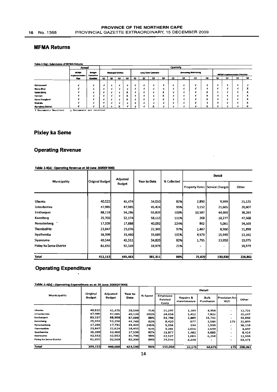#### **MFMA Returns**

| Table 2.3(g) : Submission of MFMA Returns |                                      |                             |    |          |                    |                                                      |          |    |                     |    |           |    |                             |                                |    |    |                                       |                      |
|-------------------------------------------|--------------------------------------|-----------------------------|----|----------|--------------------|------------------------------------------------------|----------|----|---------------------|----|-----------|----|-----------------------------|--------------------------------|----|----|---------------------------------------|----------------------|
|                                           | Annual                               |                             |    |          |                    |                                                      |          |    |                     |    | Quarterly |    |                             |                                |    |    |                                       |                      |
|                                           | <b>MFMA</b><br><b>Implementation</b> | <b>Budget</b><br>Exchantion |    |          | Manicipal Entities |                                                      |          |    | Long Term Contracts |    |           |    | <b>Borrowing Monitoring</b> |                                |    |    | <b>MFMA</b> implementation Priorities |                      |
|                                           | Plan                                 | <b>Chacklist</b>            | œı | $\alpha$ | Q3                 | Q                                                    | $\alpha$ | Q2 | Q3                  | Q٤ | Q1        | Q2 | Q3                          | $\mathbf{Q}$                   | Qı | QZ | QЗ                                    | Q6                   |
|                                           |                                      |                             |    |          |                    |                                                      |          |    |                     |    |           |    |                             |                                |    |    |                                       |                      |
| Richtersweld                              |                                      |                             |    |          |                    |                                                      |          |    |                     |    |           |    |                             |                                |    |    |                                       |                      |
| Nama Khoi                                 |                                      |                             |    |          |                    |                                                      |          |    |                     | ×. |           |    |                             |                                |    |    |                                       |                      |
| Kamicsberg                                |                                      |                             |    |          |                    |                                                      |          |    |                     | ×  |           |    |                             | ж                              |    |    |                                       | А                    |
| Hantam                                    |                                      |                             |    |          |                    | $\ddot{\phantom{1}}$                                 |          |    |                     | x  |           |    |                             | х                              |    |    |                                       | ^                    |
| Karoo Hoogland                            |                                      |                             |    |          |                    | $\overline{\phantom{a}}$<br>$\overline{\phantom{a}}$ |          |    |                     | x  |           |    |                             | $\overline{\phantom{a}}$<br>л. |    |    |                                       | $\ddot{\phantom{0}}$ |
| Khal-Ma                                   |                                      |                             |    |          |                    |                                                      |          |    |                     |    |           |    |                             |                                |    |    |                                       | ^                    |
| Namakwa District                          |                                      |                             |    |          |                    |                                                      |          |    |                     |    |           |    |                             |                                |    |    |                                       |                      |

V Documents Received x Documents not received

#### **Pixley ka Seme**

#### **Operating Revenue**

#### Table 2.4(a): Operating Revenue at 30 June 2009(R'000)

|                         |                 | Adjusted      |              |             |        | Detail                                   |         |
|-------------------------|-----------------|---------------|--------------|-------------|--------|------------------------------------------|---------|
| Municipality            | Original Budget | <b>Budget</b> | Year to Date | % Collected |        | <b>Property Rates   Service Charges </b> | Other   |
|                         |                 |               |              |             |        |                                          |         |
| Ubuntu                  | 40,522          | 41,474        | 34,010       | 82%         | 2,890  | 9,999                                    | 21,121  |
| <b>Umsobomvu</b>        | 47,985          | 47,985        | 45,424       | 95%         | 3,152  | 21,665                                   | 20,607  |
| Emthanjeni              | 88,119          | 94,286        | 93,839       | 100%        | 10,587 | 44,969                                   | 38,283  |
| Kareeberg               | 25,703          | 52,174        | 58,113       | 111%        | 268    | 10,277                                   | 47,568  |
| Renosterberg            | 17,339          | 17,888        | 40,092       | 224%        | 862    | 5,061                                    | 34,169  |
| <b>Thembelihle</b>      | 23,847          | 23,076        | 22,345       | 97%         | 1,487  | 8,960                                    | 11,898  |
| Sivathemba              | 36,399          | 33,460        | 33,689       | 101%        | 4,579  | 15,949                                   | 13,161  |
| Siyancuma               | 49,544          | 42,551        | 34,820       | 82%         | 1,795  | 13,950                                   | 19,075  |
| Pixley Ka Seme District | 81,655          | 92,569        | 18,979       | 21%         |        |                                          | 18,979  |
| Total                   | 411,113         | 445,463       | 381,311      | 86%         | 25,620 | 130,830                                  | 224,861 |

#### **Operating Expenditure**

|                          |                    |                    |                        |         |                              |                          | Detail            |                          |         |
|--------------------------|--------------------|--------------------|------------------------|---------|------------------------------|--------------------------|-------------------|--------------------------|---------|
| Municipality             | Original<br>Budget | Adjusted<br>Budget | Year to<br><b>Date</b> | % Spent | Employee<br>Related<br>Costs | Repairs &<br>maintenance | Bulk<br>Purchases | Provision forl<br>W/C    | Other   |
| Ubuntu                   | 40,522             | 41,475             | 29,539                 | 71%     | 11,297                       | 1,163                    | 4,358             | $\bullet\bullet$         | 12,721  |
| Umsobomvu                | 47,985             | 47,985             | 49,139                 | 102%    | 24,658                       | 1,412                    | 7,822             | ٠                        | 15,247  |
| <b>Emthanjeni</b>        | 83,537             | 88,968             | 87,089                 | 98%     | 34,798                       | 2,865                    | 15,732            | ۰                        | 33,694  |
| <b>Kareeberg</b>         | 25,933             | \$3,296            | 43,749                 | 82%     | 8,420                        | 677                      | 2,584             | 175                      | 31,893  |
| Renosterbeng             | 17,293             | 17,731             | 43,445                 | 245%    | 5,556                        | 234                      | 1,539             | ۰                        | 36,116  |
| <b>Thembelihle</b>       | 23,847             | 22,624             | 18,493                 | 82%     | 9,281                        | 2,016                    | 2,699             | $\blacksquare$           | 4,497   |
| Siyathemba               | 36,399             | 33,460             | 27,536                 | 82%     | 13,977                       | 1,462                    | 3,683             |                          | 8,414   |
| Siyancuma                | 42,552             | 42,552             | 41,796                 | 98%     | 22,527                       | 1,003                    | 6,258             | $\overline{\phantom{0}}$ | 12,008  |
| Pixley Ka Serne District | 81,655             | 92,569             | 82,360                 | 89%     | 24,550                       | 4,339                    |                   | $\bullet$                | 53,471  |
| <b>Total</b>             | 399,723            | 440,660            | 423,146                | 96%     | 155,064                      | 15,171                   | 44,675            | 175                      | 208,061 |

Table 2.4(b) : Operating Expenditure as at 30 June 2009(R'000)

 $\ddot{\phantom{0}}$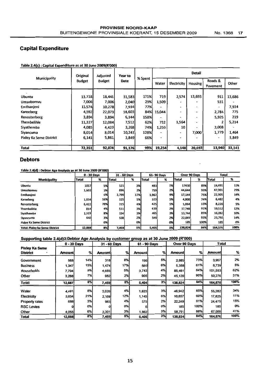#### Capital Expenditure

|                                | Original      | Adjusted      | Year to |         |        |                          | <b>Detail</b>            |                          |        |
|--------------------------------|---------------|---------------|---------|---------|--------|--------------------------|--------------------------|--------------------------|--------|
| Municipality                   | <b>Budget</b> | <b>Budget</b> | Date    | % Spent | Water  | Electricity              | Housing                  | Roads &<br>Pavement      | Other  |
|                                |               |               |         |         |        |                          |                          |                          |        |
| <b>Ubuntu</b>                  | 13,718        | 18,441        | 31,583  | 171%    | 719    | 2,574                    | 13,693                   | 911                      | 13,686 |
| Umsobomvu                      | 7,006         | 7,006         | 2,040   | 29%     | 1,509  | ۰                        | -                        | 531                      |        |
| Emthanieni                     | 13,574        | 10,278        | 7,934   | 77%     |        |                          | $\overline{\phantom{0}}$ | $\overline{\phantom{0}}$ | 7,934  |
| Kareeberg                      | 4,592         | 22,073        | 18,603  | 84%     | 15,044 |                          | -                        | 2,784                    | 775    |
| Renosterberg                   | 3,894         | 3,894         | 6,144   | 158%    | -      | -                        |                          | 5,925                    | 219    |
| <b>Thembelihle</b>             | 11,327        | 12,084        | 7,512   | 62%     | 732    | 1,564                    | ۰                        |                          | 5.214  |
| Siyathemba                     | 4,085         | 4,423         | 3,268   | 74%     | 1,250  | 10                       |                          | 2,008                    |        |
| Siyancuma                      | 8,014         | 8.014         | 10,243  | 128%    | -      | $\overline{\phantom{0}}$ | 7,000                    | 1,779                    | 1,464  |
| <b>Pixley Ka Seme District</b> | 6,141         | 5,861         | 3,849   | 66%     |        | ۰                        |                          | ۰                        | 3,849  |
| <b>Total</b>                   | 72,351        | 92,074        | 91,176  | 99%     | 19,254 | 4,148                    | 20,693                   | 13,940                   | 33,141 |

Table 2A(c) • Capital Expenditure as at 30 June 2009(R'OOO)

#### Debtors

#### Table 2.4(d) : Debtor Age Analysis as at 30 June 2009 (R'OOO

|                                       |              | $0 - 30$ Davs |        | 31 - 60 Days |             | 61-90 Days | Over 90 Days |      | Total   |      |
|---------------------------------------|--------------|---------------|--------|--------------|-------------|------------|--------------|------|---------|------|
| <b>Municipality</b>                   | <b>Total</b> | %             | lTotal | %            | Total       | %          | Total        | %    | l Total | %    |
| <b>Ubuntu</b>                         | 1057         | 5%            | 521    | 3%           | 483         | 2%         | 17430        | 89%  | 19,491  | 12%  |
| <b>Umsobomvu</b>                      | 1,602        | 3%            | 896    | 2%           | 759I        | 2%         | 44,644       | 93%  | 47,901  | 29%  |
| Emthanjeni                            |              | 0%            | 3,799  | 17%          | 1,962       | 9%         | 17,144       | 75%  | 22,905  | 14%  |
| Kareeberg                             | 1,034        | 16%           | 325    | 5%           | 323         | 5%         | 4,800        | 74%  | 6,482   | 4%   |
| Renosterberg                          | 6,422        | 78%           | 315    | 4%           | 425I        | 5%         | 1,064        | 13%  | 8,226   | 5%   |
| <b>Thembelihle</b>                    | 814          | 4%            | 511    | 3%           | 439         | 2%         | 17,748       | 91%  | 19,512  | 12%  |
| Siyathemba                            | 1,319        | 8%            | 554    | 3%           | 465         | 3%         | 13,744       | 85%  | 16,082  | 10%  |
| <b>Siyancuma</b>                      | 640          | 3%            | 538    | 2%           | <b>549l</b> | 2%         | 22,065       | 93%  | 23,792  | 14%  |
| Pixley Ka Seme District               |              | 0%            |        | 0% I         |             | 0%         | 185          | 100% | 185     | 0%   |
| <b>Total: Pixley ka Seme District</b> | 12,888       | 8%            | 7,459  | 5%           | 5,405       | 3%         | 138,824      | 84%  | 164,576 | 100% |

#### Supporting table 2.4(d)3:Debtor Age Analysis by customer group as at 30 June 2009 (R'OOo)

|                                          |         | $0 - 30$ Days |        | 31 - 60 Days |        | 61 - 90 Days |               | Over 90 Days |               | Total |
|------------------------------------------|---------|---------------|--------|--------------|--------|--------------|---------------|--------------|---------------|-------|
| <b>Pixley Ka Seme</b><br><b>District</b> | Amountl | %             | Amount | %            | Amount | %            | <b>Amount</b> | %            | <b>Amount</b> | %     |
| Government                               | 568     | 14%           | 318    | 8%           | 196    | 5%           | 2,885         | 73%          | 3.967         | 2%    |
| <b>Business</b>                          | 1,347   | 15%           | 1,474  | 17%          | 560    | 6%           | 5.358         | 61%          | 8.739         | 5%    |
| Households                               | 7,704   | 8%            | 4,685  | 5%           | 3.743  | 4%           | 85,461        | 84%          | 101,593       | 62%   |
| Other                                    | 3,268   | 7%            | 982l   | 2%           | 905    | 2%           | 45,120        | 90%          | 50,276        | 31%   |
| <b>Total</b>                             | 12,887  | 8%            | 7,459  | 5%           | 5,404  | 3%           | 138,824       | 84%          | 164,575       | 100%  |
| Water                                    | 4,491   | 8%            | 2,026  | 4%           | 1,823  | 3%           | 46,942        | 85%          | 55,282        | 34%   |
| Electricity                              | 3,654   | 21%           | 2,169  | 12%          | 1,145  | 6%           | 10,657        | 60%          | 17,625        | 11%   |
| <b>Property rates</b>                    | 688     | 3%            | 963    | 4%           | 575I   | 2%           | 22,249        | 91%          | 24,475        | 15%   |
| <b>RSC Levies</b>                        |         | 0%            |        | 0%           |        | 0%           | 185l          | 100%         | 185           | 0%    |
| Other                                    | 4,055   | 6%            | 2,301  | 3%           | 1,862  | 3%           | 58,791        | 88%          | 67,009        | 41%   |
| Total                                    | 12,888  | 8%            | 7,459  | 5%           | 5,405  | 3%           | 138,824       | 84%          | 164,576       | 100%  |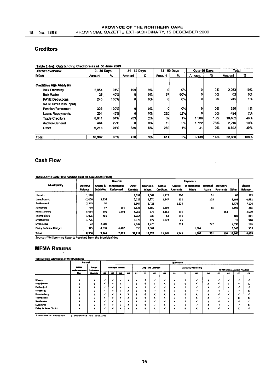#### **Creditors**

| <b>District overview</b>                         | $0 - 30$ Days |      |        | 31 - 60 Days |        | 61 - 90 Days |        | Over 90 Days | Total  |      |
|--------------------------------------------------|---------------|------|--------|--------------|--------|--------------|--------|--------------|--------|------|
| <b>R'000</b>                                     | Amount        | %    | Amount | %            | Amount | %            | Amount | %            | Amount | %    |
| <b>Creditors Age Analysis</b>                    |               |      |        |              |        |              |        |              |        |      |
| <b>Bulk Electricity</b>                          | 2.054         | 91%  | 199    | 9%           | Ω      | 0%           | n١     | 0%           | 2,253  | 10%  |
| <b>Buik Water</b>                                | 25            | 40%  | o      | 0%           | 37     | 60%          | O.     | 0%           | 62     | 0%   |
| <b>PAYE Deductions</b><br>VAT(Output less Input) | 245           | 100% | 0      | 0%l          | ٥      | 0%           | o۱     | 0%           | 245    | 1%   |
| Pension/Retirement                               | 326           | 100% | ٥I     | 0%           | ٥      | 0%           | o      | 0%           | 326    | 1%   |
| Loans Repayments                                 | 204           | 48%  | û      | 0%           | 220    | 52%          | 0      | 0%           | 424    | 2%   |
| <b>Trade Creditors</b>                           | 8,811         | 84%  | 203    | 2%           | 62     | 1%           | 1.386  | 13%          | 10,462 | 46%  |
| <b>Auditor-General</b>                           | 484           | 22%  | 0      | 0%           | 10     | 0%           | 1.722  | 78%          | 2.216  | 10%  |
| Other                                            | 6.243         | 91%  | 336    | 5%           | 282    | 4%           | 31     | 0%           | 6,892  | 30%  |
| <b>Total</b>                                     | 18,392        | 80%  | 738    | 3%           | 611    | 3%I          | 3,139  | <b>14%</b>   | 22,880 | 100% |

#### Table 2.4(e): Outstanding Creditors as at 30 June 2009

#### Cash Flow

#### Table 2 4(t) . Cash Flow Position as at 30 June 2009 (R'OOO)

|                         |                           |                              | <b>Receipts</b>                |                          |                            |                            |                     | Payments            |                          |                                     |        |                           |
|-------------------------|---------------------------|------------------------------|--------------------------------|--------------------------|----------------------------|----------------------------|---------------------|---------------------|--------------------------|-------------------------------------|--------|---------------------------|
| <b>Municipality</b>     | <b>Opening</b><br>Balance | Grants &<br><b>Subsidies</b> | <b>Investments</b><br>Redeemed | Other<br><b>Receipts</b> | Salaries &<br><b>Wages</b> | Cash &<br><b>Creditors</b> | Capital<br>Payments | Investments<br>Made | <b>External</b><br>Loans | <b>Statutory</b><br><b>Payments</b> | Other  | Closing<br><b>Balance</b> |
| <b>Ubuntu</b>           | 1,128                     |                              |                                | 2,597                    | 1,064                      | 1,417                      | 500                 |                     | 91                       |                                     | 60     | 593                       |
| <b>Umsobomvu</b>        | $-2,008$                  | 2,235                        |                                | 3,011                    | 1,770                      | 1,947                      | 201                 |                     | 103                      |                                     | 2,199  | $-2,982$                  |
| Emthanieni              | 7,315                     | 30                           |                                | 6,504                    | 3,021                      |                            | 2,229               |                     |                          |                                     | 3,475  | 5,124                     |
| Kareeberg               | $-55$                     | 87                           | 250                            | 5,838                    | 1,150                      | 1,294                      |                     |                     | 85                       |                                     | 3,195  | 395                       |
| Renosterberg            | 5,034                     | 105                          | 1,108                          | 4,253                    | 575                        | 4,852                      | 200                 |                     |                          | 354                                 |        | 4,519                     |
| Thempelihle             | $-1.025$                  | 450                          |                                | 1,054                    | 736                        | 64                         | 291                 |                     |                          |                                     | 189    | $-801$                    |
| Siyathemba              | $-1,725$                  |                              |                                | 5,375                    | 672                        | 1,973                      | 25                  |                     |                          |                                     | 12     | 968                       |
| Siyancuma               | $-72$                     | 2.000                        |                                | 2,632                    | 1,773                      |                            | 299                 |                     | 272                      |                                     | 2,090  | 126                       |
| Pixley Ka Seme District | 345 I                     | 4,839                        | 6,467                          | 953                      | 1,567                      |                            |                     | 1,864               |                          |                                     | 8,640  | 533                       |
| Total                   | 8,936                     | 9,746                        | 7,825                          | 32,217                   | 12,328                     | 11,547                     | 3,745               | 1,864               | 551                      | 354                                 | 19,860 | 8,475                     |

Source : IYM Sammary Reports Received from the Municipalities

## MFMA Returns

#### Table 2.4(g) : Submission of MFMA Returns

|                         | Annual                       |                                    |   |   |                           |                |    |    |                                |                 | Quarterly |    |                             |                |          |    |                                |                      |
|-------------------------|------------------------------|------------------------------------|---|---|---------------------------|----------------|----|----|--------------------------------|-----------------|-----------|----|-----------------------------|----------------|----------|----|--------------------------------|----------------------|
|                         | <b>MRM</b><br>Implementation | <b>Budget</b><br><b>Evaluation</b> |   |   | <b>Municipal Entities</b> |                |    |    | Long Term Contracts            |                 |           |    | <b>Borrowing Monitoring</b> |                |          |    | MFMA Implementation Priorities |                      |
|                         | <b>Plan</b>                  | <b>Checkits:</b>                   | œ | ൙ | Q3                        | $^{\circ}$     | Q1 | 02 | Q3                             | $\mathbf{Q}$    | $\alpha$  | QZ | q3                          | Q6             | $\alpha$ | QZ | Q3                             | $\alpha$             |
| Ubuntu                  |                              | ۷f                                 |   |   |                           |                |    | -1 |                                |                 |           |    |                             |                |          |    |                                |                      |
| <b>Unsobornus</b>       |                              |                                    |   |   |                           |                | v  | ٠  |                                | $\check{}$<br>^ |           |    | N                           | $\ddot{}$<br>^ |          |    |                                | ^                    |
| <b>Emthanieni</b>       |                              |                                    |   |   |                           |                | ×. | M  |                                |                 |           |    |                             |                |          |    |                                |                      |
| Eurooperg               |                              |                                    |   | x |                           | x              | v  | M  |                                | x               |           |    |                             | x              |          |    |                                | ́                    |
| <b>Renosterberg</b>     |                              |                                    |   |   | x                         | $\bullet$<br>A |    | v  | $\overline{\phantom{a}}$<br>л. | m.<br>^         |           |    | w<br>ㅅ                      |                |          |    |                                |                      |
| <b>Thembelinie</b>      |                              |                                    |   |   | x                         | л              |    |    | x                              | x               |           |    | x                           | x              |          |    | x                              | л                    |
| Systemba                |                              |                                    |   | N |                           |                |    | ×. |                                |                 |           |    |                             |                |          |    |                                |                      |
| <b>Siyancuma</b>        |                              |                                    |   | Ń |                           | ×<br>^         | v  | M  |                                | x               |           |    |                             | $\ddot{}$<br>л |          |    |                                | $\ddot{\phantom{0}}$ |
| Fidey Ka Serre District |                              |                                    |   | N | x                         |                | Ń  | v  | x                              |                 |           |    | x                           |                | п.       |    | x                              |                      |

<sup>~</sup>Documents Recel.ved X. Documents not receJ.ved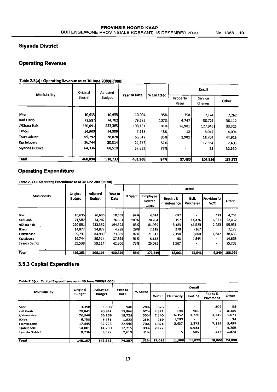#### Siyanda District

#### Operating Revenue

#### Table 2.5(a): Operating Revenue as at 30 June 2009(R'000)

| Municipality     | Original      | <b>Adjusted</b> | <b>Year to Date</b> | % Collected |                          | Detail             |         |
|------------------|---------------|-----------------|---------------------|-------------|--------------------------|--------------------|---------|
|                  | <b>Budget</b> | <b>Budget</b>   |                     |             | Property<br>Rates        | Service<br>Charges | Other   |
|                  |               |                 |                     |             |                          |                    |         |
| Mier             | 10,635        | 10,635          | 10,094              | 95%         | 758                      | 2,074              | 7,262   |
| Kai! Garib       | 71,587        | 74,702          | 79,583              | 107%        | 4,747                    | 38,724             | 36,112  |
| //Khara Hais     | 220,091       | 233,385         | 190,151             | 81%         | 28,981                   | 127,845            | 33,325  |
| <b>!Kheis</b>    | 14,909        | 14,909          | 7,118               | 48%         | 12                       | 3,012              | 4,094   |
| Tsantsabane      | 59,792        | 78,078          | 66,612              | 85%         | 2,982                    | 18,704             | 44,926  |
| Kgatelopele      | 26,744        | 30,514          | 24,967              | 82%         |                          | 17,564             | 7,403   |
| Siyanda District | 64,336        | 68,510          | 52,683              | <b>77%</b>  | $\overline{\phantom{a}}$ | 33                 | 52,650  |
| Total            | 468,094       | 510,733         | 431,208             | 84%         | 37,480                   | 207,956            | 185,772 |

#### Operating Expenditure

Table 2.5(b) : Operating Expenditure as at 30 June 2009(R'000)

|                  |                           |                           |                        |         |                                     |                          | <b>Detail</b>            |                      |         |
|------------------|---------------------------|---------------------------|------------------------|---------|-------------------------------------|--------------------------|--------------------------|----------------------|---------|
| Municipality     | Original<br><b>Budget</b> | Adjusted<br><b>Budget</b> | Year to<br><b>Date</b> | % Spent | <b>Employee</b><br>Related<br>Costs | Repairs &<br>maintenance | <b>Bulk</b><br>Purchases | Provision for<br>W/C | Other   |
|                  |                           |                           |                        |         |                                     |                          |                          |                      |         |
| Mier             | 10,635                    | 10,635                    | 10,503                 | 99%     | 4,624                               | 697                      |                          | 428                  | 4,754   |
| Kai! Garib       | 71,587                    | 74,702                    | 76.651                 | 103%    | 28,204                              | 5,197                    | 14,476                   | 6,322                | 22,452  |
| //Khara Hais     | 220,091                   | 233,352                   | 194,323                | 83%     | 81,969                              | 8,183                    | 46,523                   | $-2,283$             | 59,931  |
| <b>Kheis</b>     | 14,877                    | 14,877                    | 4,299                  | 29%     | 2,118                               | 170                      | $-167$                   |                      | 2,178   |
| Tsantsabane      | 59,791                    | 84,909                    | 73,889                 | 87%     | 21,311                              | 2,194                    | 9,864                    | 1,882                | 38,638  |
| Kgatelopele      | 26,744                    | 30,514                    | 27.898                 | 91%     | 8,132                               | 53                       | 4,845                    | ٠                    | 14,868  |
| Siyanda District | 55,538                    | 59,114                    | 42,866                 | 73%     | 26,091                              | 1,567                    |                          |                      | 15,208  |
| Total            | 459,263                   | 508,103                   | 430,429                | 85%     | 172,449                             | 18.061                   | 75,541                   | 6.349                | 158,029 |

#### 3.5.3 Capital Expenditure

| Table 2.5(c): Capital Expenditure as at 30 June 2009(R'000) |  |
|-------------------------------------------------------------|--|
|                                                             |  |

|                  | Original      | Adjusted                         | Year to |       | Detail      |                          |                     |                          |        |  |  |
|------------------|---------------|----------------------------------|---------|-------|-------------|--------------------------|---------------------|--------------------------|--------|--|--|
| Municipality     | <b>Budget</b> | % Spent<br><b>Budget</b><br>Date |         | Water | Electricity | <b>Housing</b>           | Roads &<br>Pavement | Other                    |        |  |  |
|                  |               |                                  |         |       |             |                          |                     |                          |        |  |  |
| Mier             | 3,398         | 3,398                            | 940l    | 28%l  | 576         | ٠                        | -                   | 306                      | 58     |  |  |
| Kai! Garib       | 20.841        | 20.841                           | 13,866  | 67%   | 4,371       | 194                      | 906                 | 6                        | 8,389  |  |  |
| //Khara Hais     | 76.948        | 56,269                           | 19,728  | 35%   | 7,340       | 6,352                    | 1,720               | 3,245                    | 1.071  |  |  |
| iKheis           | 6,738         | 6.738                            | 1,523   | 23%   | 289         | 1,200                    |                     |                          | 34     |  |  |
| Tsantsabane      | 17.445        | 32,725                           | 22,996  | 70%   | 1,871       | 3,637                    | 1,873               | 7,156                    | 8,459  |  |  |
| Kgatelopele      | 14,001        | 14,250                           | 12,715  | 89%   | 2,572       | $\overline{\phantom{0}}$ | 5.934               | $\overline{\phantom{0}}$ | 4,209  |  |  |
| Sivanda District | 8,736         | 8,322                            | 2,619   | 31%   |             |                          | 589                 | 147                      | 1,878  |  |  |
| Total            | 148,107       | 142,543                          | 74,387  | 52%   | 17,019      | 11,388                   | 11,022              | 10,860                   | 24,098 |  |  |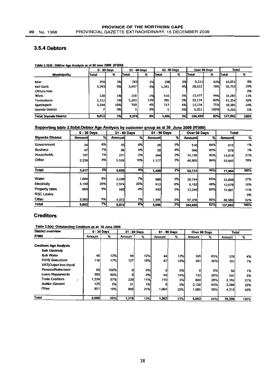#### 3.5.4 Debtors

#### Table 2.S(d) : Debtor Age Analysis as at 30 June 2009 (R'OOO)

|                                |              | 0 - 30 Days |              | 31 - 60 Days |            | 61-90 Days |         | Over 90 Days | <b>Total</b> |      |
|--------------------------------|--------------|-------------|--------------|--------------|------------|------------|---------|--------------|--------------|------|
| <b>Municipality</b>            | <b>Total</b> | ℁           | <b>Total</b> | ℅            | lTotal     | %          | Total   | ℅            | <b>Total</b> | ℅    |
| <b>Mier</b>                    | <b>259l</b>  | 3%          | 283I         | 3%           | <b>298</b> | <b>3%</b>  | 9,211   | 92%          | 10,051       | 8%   |
| Kai! Garib                     | 3,293        | 9%          | 3,447        | 9%           | 1,391      | 4%         | 28,622  | 78%          | 36,753       | 29%  |
| //Khara Hais                   |              |             |              |              |            |            |         |              |              | 0%   |
| !Kheis                         | 138l         | 1%          | 258          | 2%           | 410        | 3%         | 13,477  | 94%          | 14,283       | 11%  |
| Tsantsabane                    | 2,112        | 5%          | 5,283        | 13%          | 785        | 2%         | 33,174  | 80%          | 41,354       | 33%  |
| Kgatelopele                    | 3,244        | 18%I        | 700          | 4%I          | 717        | 4%         | 13,724  | 75%          | 18,385       | 14%  |
| Sivanda District               |              | <b>0%</b>   |              | 0%I          |            | 0%         | 6,251   | 100%         | 6,266        | 5%   |
| <b>Total: Siyanda District</b> | 9,053        | 7%          | 9,974        | 8%           | 3,606      | 3%         | 104,459 | 82%          | 127,092      | 100% |

#### Supporting table 2.5(d)4:Debtor Age Analysis by customer group as at 30 June 2009 (R'Ooo)

|                         | $0 - 30$ Days |     |        | 31 - 60 Days |               | 61 - 90 Days | Over 90 Days |     | Total         |      |
|-------------------------|---------------|-----|--------|--------------|---------------|--------------|--------------|-----|---------------|------|
| <b>Siyanda District</b> | Amountl       | %।  | Amount | %l           | <b>Amount</b> | %            | Amount       | %   | <b>Amount</b> | %    |
| Government              | 34            | 6%l | 35     | 6%           | 28            | 5%           | 516          | 84% | 613           | 1%   |
| <b>Business</b>         | 47            | 7%I | 36     | 5%           | 29            | 4%l          | 566          | 83% | 678           | 1%   |
| <b>Households</b>       | 197           | 1%  | 231    | 2%           | 264           | 2%           | 14,126       | 95% | 14,818        | 21%  |
| Other                   | 2,239         | 4%  | 5,524  | 10%          | 1,177         | 2%           | 46,905       | 84% | 55,845        | 78%  |
|                         |               |     |        |              |               |              |              |     |               |      |
| Total                   | 2,517         | 3%  | 5,826  | 8%           | 1,498         | 2%           | 62,113       | 86% | 71,954        | 100% |
| Water                   | 1,688         | 5%  | 2,438  | 7%           | 988           | 3%           | 28,744       | 85% | 33,858        | 27%  |
| Electricity             | 3,100         | 24% | 2,574  | 20%          | 812           | 6%l          | 6,192        | 49% | 12,678        | 10%  |
| <b>Property rates</b>   | 680           | 5%  | 590l   | 4%           | 452           | 3%l          | 12,245       | 88% | 13,967        | 11%  |
| <b>RSC Levies</b>       |               |     |        |              |               |              |              |     |               | 0%   |
| Other                   | 3,585         | 5%  | 4,372  | 7%           | 1.354         | 2%           | 57,278       | 86% | 66,589        | 52%  |
| <b>Total</b>            | 9,053         | 7%  | 9,974  | 8%           | 3,606         | 3%           | 104,459      | 82% | 127,092       | 100% |

#### **Creditors**

| Table 2.5(e): Outstanding Creditors as at 30 June 2009 |  |
|--------------------------------------------------------|--|
|                                                        |  |

| <b>District overview</b>                                 | $0 - 30$ Days |      |        | 31 - 60 Days |        | 61 - 90 Days |               | Over 90 Days | <b>Total</b>  |      |
|----------------------------------------------------------|---------------|------|--------|--------------|--------|--------------|---------------|--------------|---------------|------|
| <b>R'000</b>                                             | Amount        | %    | Amount | %            | Amount | %            | <b>Amount</b> | %            | <b>Amount</b> | %    |
| <b>Creditors Age Analysis</b><br><b>Bulk Electricity</b> |               |      |        |              |        |              |               |              |               |      |
| <b>Bulk Water</b>                                        | 45            | 12%  | 44     | 12%          | 44     | 12%          | 245           | 65%          | 378           | 4%   |
| <b>PAYE Deductions</b><br>VAT(Output less Input)         | 116           | 17%  | 127    | 18%          | 67     | 10%          | 391           | 56%          | 701           | 7%   |
| <b>Pension/Retirement</b>                                | 55            | 100% |        | 0%           | o      | 0%l          | 0             | 0%           | 55            | 1%   |
| <b>Loans Repayments</b>                                  | <b>300</b>    | 60%l |        | 0%           | 69     | 14%          | 132           | 26%          | 501           | 5%   |
| <b>Trade Creditors</b>                                   | 1,224         | 57%l | 228    | 11%          | 110    | 5%           | 600           | 28%          | 2,162         | 21%  |
| <b>Auditor-General</b>                                   | 125           | 5%l  | 31     | 1%           |        | 0%           | 2.120         | 93%          | 2.284         | 22%  |
| Other                                                    | 801           | 19%  | 885    | 21%          | 1,064  | 25%          | 1,565         | 36%          | 4,315         | 42%  |
| <b>Total</b>                                             | 2,666         | 26%  | 1.315  | 13%          | 1,362  | 13%          | 5,053         | 49%l         | 10,396        | 100% |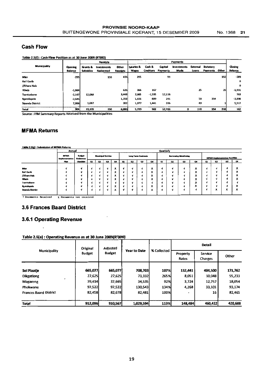#### **Cash Flow**

#### Table 2.5(f): Cash Flow Position as at 30 June 2009 (R'000) Receipts Payments Municipality Other Salaries & Cash & Capital Investments External Statutory Grants & Investments Closing Opening<br>Balance **Balance Subsidies** Redeemed Receipts Wages Creditors Payments Loans Payments **n** Made Mier  $-295$ 150 436 295 93 192 -289 .<br>Kai! Garib  $\mathbf{o}$ //Khara Hais  $\mathbf{a}$ **Kheis**  $-1,984$ 636 366 167 25 25 -1,931 **Tsantsaba**  $-2,167$ 12,068 3,448 2,065  $-1,595$ 12,116 763 Keatelopele  $-2,640$ 1,358 1,026 50  $-3,898$ 889 291 354 Siyanda District 7,996 1,057 202 1,977 1,441 286 43 5,517 Total  $\overline{904}$  $13.135$  $50%$  $\overline{w}$  $12,786$  $\overline{\bullet}$  $\overline{118}$  $\overline{\overline{\mathbf{354}}}$  $\overline{718}$  $\frac{1}{162}$  $\overline{150}$  $5.729$

Source : IYM Sammary Reports Received from the Municipalities

#### **MFMA Returns**

Table 2.5(g) : Submission of MFMA Returns

|                  | Annual                               |                                       |    | Quarterly |                           |                               |   |    |                     |                 |          |    |                      |                               |    |                                       |                |          |
|------------------|--------------------------------------|---------------------------------------|----|-----------|---------------------------|-------------------------------|---|----|---------------------|-----------------|----------|----|----------------------|-------------------------------|----|---------------------------------------|----------------|----------|
|                  | <b>MFMA</b><br><i>implementation</i> | <b>Readquart</b><br><b>Evaluation</b> |    |           | <b>Municipal Entities</b> |                               |   |    | Long Term Contracts |                 |          |    | Borrowing Monitoring |                               |    | <b>MFMA</b> implementation Priorities |                |          |
|                  | Plan                                 | <b>Checklist</b>                      | Q1 | Q2        | Q3                        | Q <sub>4</sub>                | œ | Q2 | $\alpha$            | $\alpha$        | $\alpha$ | Q2 | Q3                   | Q4                            | Q1 | $\alpha$                              | Q3             | $\alpha$ |
|                  |                                      |                                       |    |           |                           |                               |   |    |                     |                 |          |    |                      |                               |    |                                       |                |          |
| Mier             |                                      | J.                                    |    |           | ∢                         | x                             |   |    |                     | x               |          |    |                      | x                             |    | A.                                    |                | х        |
| Kail Garib       |                                      |                                       |    |           |                           | $\checkmark$<br>^             |   |    |                     | x               |          |    |                      | x                             |    |                                       |                | x        |
| //Chara Hals     |                                      |                                       |    |           | -1                        | x                             |   |    |                     | x               |          | J. | ٠                    | x                             |    | <b>v</b>                              |                | х        |
| Kheis            |                                      |                                       |    |           |                           | $\overline{\phantom{a}}$<br>^ |   |    |                     | $\check{}$<br>ᄉ |          |    |                      | $\mathbf x$                   |    |                                       |                | л        |
| Tsantsahane      |                                      |                                       |    |           |                           |                               |   |    | $\mathbf{I}$        | -4              |          |    |                      | $\overline{\phantom{a}}$<br>ᄉ |    |                                       |                |          |
| Kratelopele      |                                      | J.                                    |    |           |                           | $\checkmark$<br>^             |   |    |                     | $\check{}$<br>ᄉ |          |    |                      | $\check{}$<br>ᄉ               |    |                                       |                | ^        |
| Siyanda District |                                      |                                       |    |           | u                         | x                             |   |    |                     | x               |          |    |                      |                               |    | x                                     | $\bullet$<br>^ | х        |
|                  |                                      |                                       |    |           |                           |                               |   |    |                     |                 |          |    |                      |                               |    |                                       |                |          |

V Documents Received x Documents not received

#### **3.6 Frances Baard District**

#### 3.6.1 Operating Revenue

#### Table 2.6(a): Operating Revenue as at 30 June 2009(R'000)

| Municipality                  | Original      | Adjusted      | <b>Year to Date</b> | % Collected |                   | <b>Detail</b>      |         |
|-------------------------------|---------------|---------------|---------------------|-------------|-------------------|--------------------|---------|
|                               | <b>Budget</b> | <b>Budget</b> |                     |             | Property<br>Rates | Service<br>Charges | Other   |
|                               |               |               |                     |             |                   |                    |         |
| Sol Plaatje                   | 665,077       | 665,077       | 708,703             | 107%        | 132,441           | 404,500            | 171,762 |
| <b>Dikgationg</b>             | 27,625        | 27,625        | 73,332              | 265%        | 8,051             | 10,048             | 55,233  |
| $\bullet$<br><b>Magareng</b>  | 39.414        | 37,665        | 34,535              | 92%         | 3,724             | 12,757             | 18,054  |
| Phokwane                      | 97.522        | 97,522        | 130,543             | 134%        | 4,268             | 33,101             | 93,174  |
| <b>Frances Baard District</b> | 82,458        | 82,678        | 82,481              | 100%        | -                 | 16                 | 82,465  |
|                               |               |               |                     |             |                   |                    |         |
| <b>Total</b>                  | 912,096       | 910,567       | 1,029,594           | 113%        | 148,484           | 460,422            | 420,688 |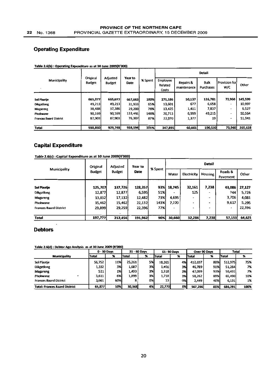#### **Operating Expenditure**

|                               |                           | Adjusted<br><b>Budget</b> | Year to<br><b>Date</b> |         | Detail                       |                          |                   |                          |         |  |  |  |
|-------------------------------|---------------------------|---------------------------|------------------------|---------|------------------------------|--------------------------|-------------------|--------------------------|---------|--|--|--|
| Municipality                  | Original<br><b>Budget</b> |                           |                        | % Spent | Employee<br>Related<br>Costs | Repairs &<br>maintenance | Bulk<br>Purchases | Provision for<br>W/C     | Other   |  |  |  |
|                               |                           |                           |                        |         |                              |                          |                   |                          |         |  |  |  |
| <b>Sol Plaatie</b>            | 665,077                   | 665,077                   | 667,663                | 100%    | 271,186                      | 50,137                   | 126,781           | 73,960                   | 145.599 |  |  |  |
| <b>Dikgatlong</b>             | 49,213                    | 49,213                    | 31,933                 | 65%     | 13,601                       | 677                      | 6,658             | $\overline{\phantom{a}}$ | 10.997  |  |  |  |
| <b>Magareng</b>               | 38,488                    | 37,386                    | 29,200                 | 78%     | 13,425                       | 1,411                    | 7,837             | $\overline{\phantom{a}}$ | 6.527   |  |  |  |
| Phokwane                      | 90,169                    | 90,169                    | 133,491                | 148%    | 26,713                       | 6,999                    | 49,215            | $\overline{\phantom{a}}$ | 50.564  |  |  |  |
| <b>Frances Baard District</b> | 87,903                    | 87,903                    | 76,307                 | 87%     | 22,970                       | 1,377                    | 19                | $\bullet$                | 51,941  |  |  |  |
|                               |                           |                           |                        |         |                              |                          |                   |                          |         |  |  |  |
| Total                         | 930,850                   | 929,748                   | 938,594                | 101%    | 347,895                      | 60,601                   | 190,510           | 73,960                   | 265,628 |  |  |  |

#### Table 2.6(b) : Operating Expenditure as at 30 June 2009(R'000)

#### **Capital Expenditure**

| Table 2.6(c): Capital Expenditure as at 30 June 2009(R'000) |  |
|-------------------------------------------------------------|--|
|-------------------------------------------------------------|--|

|                               | Original      | Adjusted      | Year to     | % Spent | <b>Detail</b> |                    |                          |                     |        |  |  |
|-------------------------------|---------------|---------------|-------------|---------|---------------|--------------------|--------------------------|---------------------|--------|--|--|
| <b>Municipality</b>           | <b>Budget</b> | <b>Budget</b> | <b>Date</b> |         | Water         | <b>Electricity</b> | Housing                  | Roads &<br>Pavement | Other  |  |  |
|                               |               |               |             |         |               |                    |                          |                     |        |  |  |
| <b>Sol Plaatje</b>            | 125,707       | 137,726       | 128,357     | 93%     | 18,745        | 32,161             | 7,238                    | 43,086              | 27,127 |  |  |
| <b>Dikgatlong</b>             | 12,877        | 12,877        | 6,595       | 51%I    |               | 125                | $\overline{\phantom{a}}$ | 744                 | 5,726  |  |  |
| Magareng                      | 13,832        | 17,132        | 12,482      | 73%     | 4,695         | $\cdot$            | ÷                        | 3,706               | 4,081  |  |  |
| Phokwane                      | 15,462        | 15,462        | 22,132      | 143%    | 7,220         | $\blacksquare$     |                          | 9,617               | 5.295  |  |  |
| <b>Frances Baard District</b> | 29,899        | 29,259        | 22,396      | 77%I    |               | ٠                  | -                        | ۰                   | 22,396 |  |  |
|                               |               |               |             |         |               |                    |                          |                     |        |  |  |
| Total                         | 197,777       | 212,456       | 191,962     | 90%     | 30,660        | 32,286             | 7.238                    | 57,153              | 64,625 |  |  |

#### **Debtors**

 $\ddot{\phantom{a}}$ 

Table 2.6(d): Debtor Age Analysis as at 30 June 2009 (R'000)

|                                      |              | 0 - 30 Days | 31 - 60 Days  |                     |        | 61-90 Days |         | Over 90 Days | <b>Total</b> |      |  |
|--------------------------------------|--------------|-------------|---------------|---------------------|--------|------------|---------|--------------|--------------|------|--|
| <b>Municipality</b>                  | <b>Total</b> | 79          | Total         | $\boldsymbol{\ast}$ | lTotal | œ<br>76    | lTotal  | %            | Total        | x    |  |
| Sol Plaatje                          | 56.752       | 11%         | 25.261        | 5%                  | 18,265 | 4%         | 412,697 | 80%          | 512,975      | 75%  |  |
| <b>Dikgationg</b>                    | 1,332        | 3%          | 1,687         | 3%                  | 1,456  | 3%         | 46,789  | 91%          | 51,264       | 7%   |  |
| Magareng                             | 521          | 1%          | 1.493         | 3%]                 | 1,318  | 3%         | 47,099  | 93%          | 50,431       | 7%   |  |
| Phokwane                             | 3.611        | 6%          | 1,899         | 3%                  | 1,718  | 3%         | 58.262  | 89%          | 65,490       | 10%  |  |
| <b>Frances Baard District</b>        | 3,661        | 60%         | 8             | 0%I                 | 13     | 0%         | 2.449   | 40%          | 6,131        | 1%   |  |
| <b>Total: Frances Baard District</b> | 65,877       | 10%         | <b>30.348</b> | 4%                  | 22,770 | 3%         | 567,296 | 83%          | 686,291      | 100% |  |